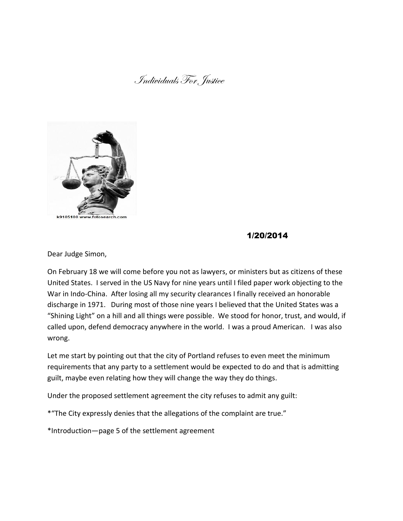### Individuals For Justice



#### k9105100 w

## 1/20/2014

Dear Judge Simon,

On February 18 we will come before you not as lawyers, or ministers but as citizens of these United States. I served in the US Navy for nine years until I filed paper work objecting to the War in Indo-China. After losing all my security clearances I finally received an honorable discharge in 1971. During most of those nine years I believed that the United States was a "Shining Light" on a hill and all things were possible. We stood for honor, trust, and would, if called upon, defend democracy anywhere in the world. I was a proud American. I was also wrong.

Let me start by pointing out that the city of Portland refuses to even meet the minimum requirements that any party to a settlement would be expected to do and that is admitting guilt, maybe even relating how they will change the way they do things.

Under the proposed settlement agreement the city refuses to admit any guilt:

\*"The City expressly denies that the allegations of the complaint are true."

\*Introduction—page 5 of the settlement agreement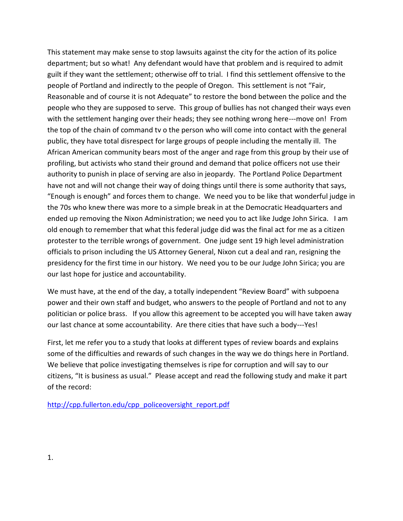This statement may make sense to stop lawsuits against the city for the action of its police department; but so what! Any defendant would have that problem and is required to admit guilt if they want the settlement; otherwise off to trial. I find this settlement offensive to the people of Portland and indirectly to the people of Oregon. This settlement is not "Fair, Reasonable and of course it is not Adequate" to restore the bond between the police and the people who they are supposed to serve. This group of bullies has not changed their ways even with the settlement hanging over their heads; they see nothing wrong here---move on! From the top of the chain of command tv o the person who will come into contact with the general public, they have total disrespect for large groups of people including the mentally ill. The African American community bears most of the anger and rage from this group by their use of profiling, but activists who stand their ground and demand that police officers not use their authority to punish in place of serving are also in jeopardy. The Portland Police Department have not and will not change their way of doing things until there is some authority that says, "Enough is enough" and forces them to change. We need you to be like that wonderful judge in the 70s who knew there was more to a simple break in at the Democratic Headquarters and ended up removing the Nixon Administration; we need you to act like Judge John Sirica. I am old enough to remember that what this federal judge did was the final act for me as a citizen protester to the terrible wrongs of government. One judge sent 19 high level administration officials to prison including the US Attorney General, Nixon cut a deal and ran, resigning the presidency for the first time in our history. We need you to be our Judge John Sirica; you are our last hope for justice and accountability.

We must have, at the end of the day, a totally independent "Review Board" with subpoena power and their own staff and budget, who answers to the people of Portland and not to any politician or police brass. If you allow this agreement to be accepted you will have taken away our last chance at some accountability. Are there cities that have such a body---Yes!

First, let me refer you to a study that looks at different types of review boards and explains some of the difficulties and rewards of such changes in the way we do things here in Portland. We believe that police investigating themselves is ripe for corruption and will say to our citizens, "It is business as usual." Please accept and read the following study and make it part of the record:

[http://cpp.fullerton.edu/cpp\\_policeoversight\\_report.pdf](http://cpp.fullerton.edu/cpp_policeoversight_report.pdf)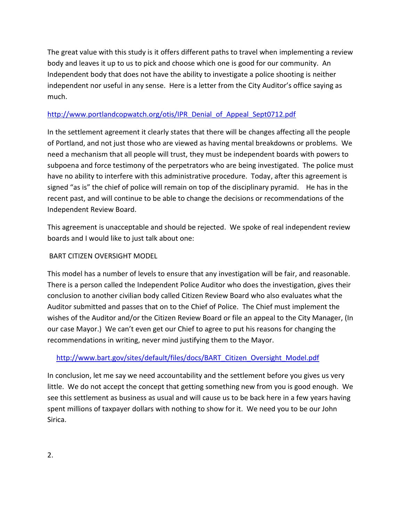The great value with this study is it offers different paths to travel when implementing a review body and leaves it up to us to pick and choose which one is good for our community. An Independent body that does not have the ability to investigate a police shooting is neither independent nor useful in any sense. Here is a letter from the City Auditor's office saying as much.

#### [http://www.portlandcopwatch.org/otis/IPR\\_Denial\\_of\\_Appeal\\_Sept0712.pdf](http://www.portlandcopwatch.org/otis/IPR_Denial_of_Appeal_Sept0712.pdf)

In the settlement agreement it clearly states that there will be changes affecting all the people of Portland, and not just those who are viewed as having mental breakdowns or problems. We need a mechanism that all people will trust, they must be independent boards with powers to subpoena and force testimony of the perpetrators who are being investigated. The police must have no ability to interfere with this administrative procedure. Today, after this agreement is signed "as is" the chief of police will remain on top of the disciplinary pyramid. He has in the recent past, and will continue to be able to change the decisions or recommendations of the Independent Review Board.

This agreement is unacceptable and should be rejected. We spoke of real independent review boards and I would like to just talk about one:

#### BART CITIZEN OVERSIGHT MODEL

This model has a number of levels to ensure that any investigation will be fair, and reasonable. There is a person called the Independent Police Auditor who does the investigation, gives their conclusion to another civilian body called Citizen Review Board who also evaluates what the Auditor submitted and passes that on to the Chief of Police. The Chief must implement the wishes of the Auditor and/or the Citizen Review Board or file an appeal to the City Manager, (In our case Mayor.) We can't even get our Chief to agree to put his reasons for changing the recommendations in writing, never mind justifying them to the Mayor.

### [http://www.bart.gov/sites/default/files/docs/BART\\_Citizen\\_Oversight\\_Model.pdf](http://www.bart.gov/sites/default/files/docs/BART_Citizen_Oversight_Model.pdf)

In conclusion, let me say we need accountability and the settlement before you gives us very little. We do not accept the concept that getting something new from you is good enough. We see this settlement as business as usual and will cause us to be back here in a few years having spent millions of taxpayer dollars with nothing to show for it. We need you to be our John Sirica.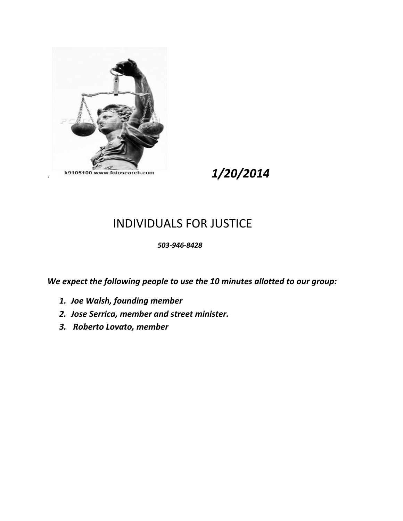

k9105100 www.fotosearch.com **1/20/2014** 

# INDIVIDUALS FOR JUSTICE

#### *503-946-8428*

*We expect the following people to use the 10 minutes allotted to our group:*

- *1. Joe Walsh, founding member*
- *2. Jose Serrica, member and street minister.*
- *3. Roberto Lovato, member*